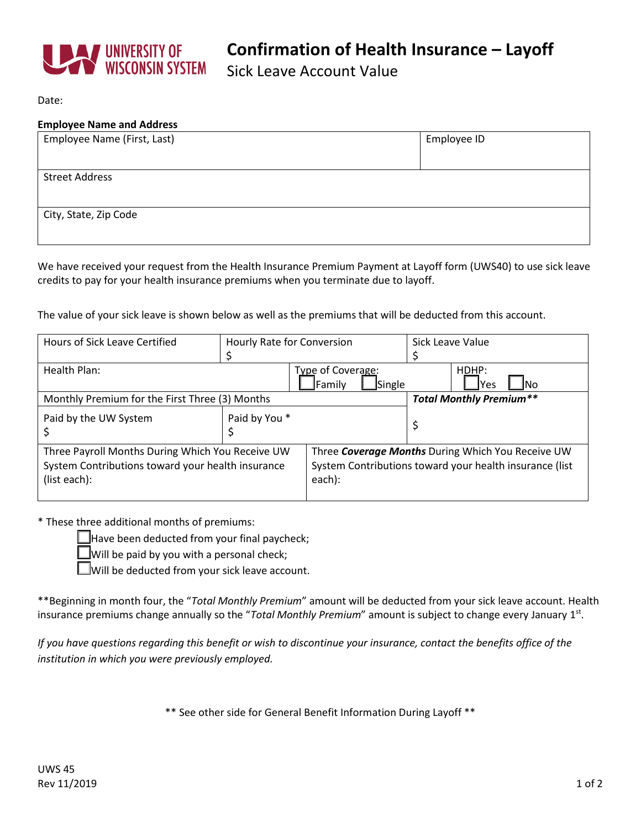

Sick Leave Account Value

Date:

#### **Employee Name and Address**

| Employee Name (First, Last) | Employee ID |
|-----------------------------|-------------|
|                             |             |
| <b>Street Address</b>       |             |
|                             |             |
| City, State, Zip Code       |             |
|                             |             |

We have received your request from the Health Insurance Premium Payment at Layoff form (UWS40) to use sick leave credits to pay for your health insurance premiums when you terminate due to layoff.

The value of your sick leave is shown below as well as the premiums that will be deducted from this account.

| Hours of Sick Leave Certified                                                                                         | Hourly Rate for Conversion |                                                                                                                        | Sick Leave Value     |  |
|-----------------------------------------------------------------------------------------------------------------------|----------------------------|------------------------------------------------------------------------------------------------------------------------|----------------------|--|
| Health Plan:                                                                                                          |                            | Type of Coverage:<br>Single<br>Family                                                                                  | HDHP:<br>lYes<br>INo |  |
| Monthly Premium for the First Three (3) Months                                                                        |                            | <b>Total Monthly Premium**</b>                                                                                         |                      |  |
| Paid by the UW System                                                                                                 | Paid by You *              |                                                                                                                        |                      |  |
| Three Payroll Months During Which You Receive UW<br>System Contributions toward your health insurance<br>(list each): |                            | Three Coverage Months During Which You Receive UW<br>System Contributions toward your health insurance (list<br>each): |                      |  |

\* These three additional months of premiums:

Have been deducted from your final paycheck;

 $\Box$  Will be paid by you with a personal check;

 $\Box$  Will be deducted from your sick leave account.

\*\*Beginning in month four, the "*Total Monthly Premium*" amount will be deducted from your sick leave account. Health insurance premiums change annually so the "*Total Monthly Premium*" amount is subject to change every January 1st.

*If you have questions regarding this benefit or wish to discontinue your insurance, contact the benefits office of the institution in which you were previously employed.*

\*\* See other side for General Benefit Information During Layoff \*\*